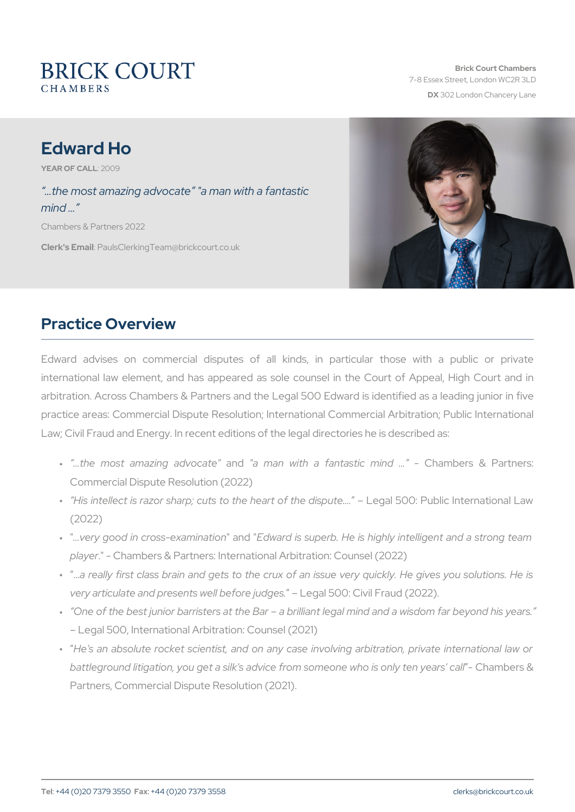# Edward Ho

YEAR OF CA2LOLO9

 &the most amazing advocate "a man with a fantastic mind & Chambers & Partners 2022

Clerk's E. Phanills Clerking Team @brickcourt.co.uk

# Practice Overview

Edward advises on commercial disputes of all kinds, in parti  $intermational$  law element, and has appeared as sole counsel in the arbitration. Across Chambers & Partners and the Legal 500 Edward is practice areas: Commercial Dispute Resolution; International Commer Law; Civil Fraud and Energy. In recent editions of the legal directorie

- "& the most amazinagnda"davoonaatne" with a fantastOtohammolinedis & Par Commercial Dispute Resolution (2022)
- " His intellect is razor sharp; cuts to the Lehgesalrt500:thPeubdliiscpluntee&rna (2022)
- " "&very good in cross"-eaxnamEndi"watidonis superb. He is highly intelligen player- Chambers & Partners: International Arbitration: Counsel (2
- " & really first class brain and gets to the crux of an issue very very articulate and presents well emethose  $\theta$  ounced is Fraud (2022).
- " One of the best junior barristers at the Bar a brilliant legal mir Legal 500, International Arbitration: Counsel (2021)
- " He's an absolute rocket scientist, and on any case involving ar battleground litigation, you get a silk's advice from soCcheaonmleewsho& Partners, Commercial Dispute Resolution (2021).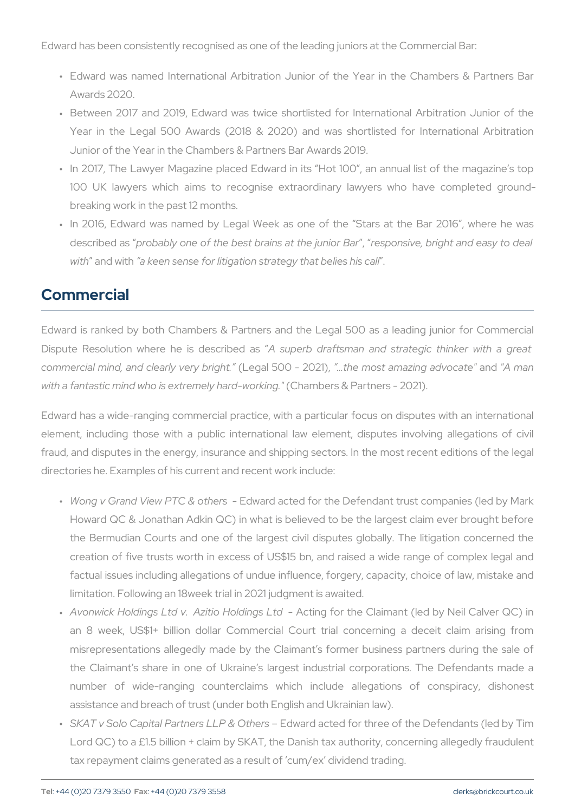Edward has been consistently recognised as one of the leading juniors

- " Edward was named International Arbitration Junior of the Year Awards 2020.
- " Between 2017 and 2019, Edward was twice shortlisted for Inter Year in the Legal 500 Awards (2018 & 2020) and was shortl Junior of the Year in the Chambers & Partners Bar Awards 2019.
- " In 2017, The Lawyer Magazine placed Edward in its Hot 100, and 100 UK lawyers which aims to recognise extraordinary lawye breaking work in the past 12 months.
- " In 2016, Edward was named by Legal Week as one of the Sta describe  $\phi$  ras bably one of the best brains eap on bive niori B at rand eas with and wat keen sense for litigation strategy that belies his call

## Commercial

Edward is ranked by both Chambers & Partners and the Legal 500 Dispute Resolution where heA issudestorion bead transian and strategic thinker and  $\alpha$ commercial mind, and cleauley gaver 5y 0 Obrig 20012ed), most amazing aned devocates" with a fantastic mind who is  $ext{ext{ref{\textbf{G}}}$  health marts -  $\textbf{W}$  d Prakin hard  $\textbf{C}$  - 2021).

Edward has a wide-ranging commercial practice, with a particular for element, including those with a public international law element, fraud, and disputes in the energy, insurance and shipping sectors. In directories he. Examples of his current and recent work include:

- " Wong v Grand View PT Ed&w aortchearcsted for the Defendant trust comp Howard QC & Jonathan Adkin QC) in what is believed to be the  $l$ the Bermudian Courts and one of the largest civil disputes glob creation of five trusts worth in excess of US\$15 bn, and raised factual issues including allegations of undue influence, forgery, q limitation. Following an 18week trial in 2021 judgment is awaited.
- " Avonwick Holdings Ltd v. Aziti Scholdifrogsthed Claimant (led by N an 8 week, US\$1+ billion dollar Commercial Court trial conc misrepresentations allegedly made by the Claimant s former bus the Claimant s share in one of Ukraine s largest industrial co number of wide-ranging counterclaims which include alleg assistance and breach of trust (under both English and Ukrainian
- " SKAT v Solo Capital Partners Edlw Pard and the edirs for three of the Defendants (led by Tim Bard and a Lord QC) to a  $£1.5$  billion + claim by  $SKAT$ , the Danish tax author tax repayment claims generated as a result of cum/ex dividend trading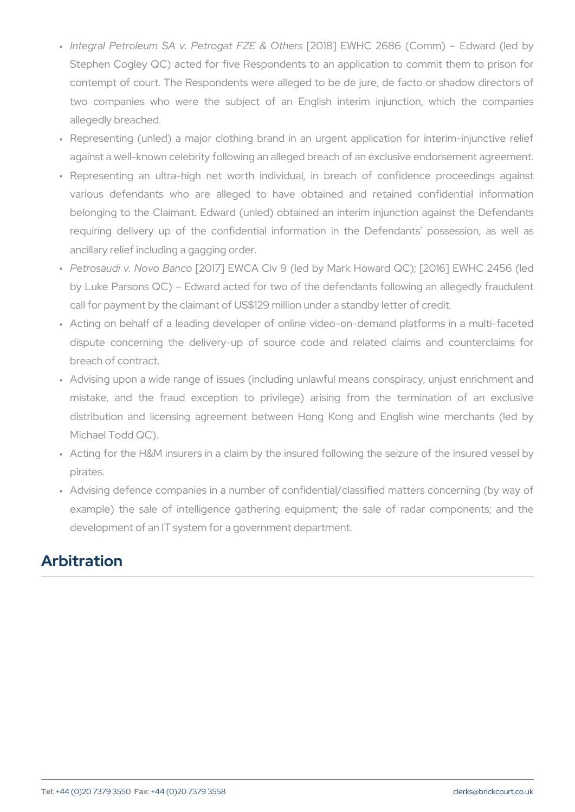- "Integral Petroleum SA v. Petro[g?a0118F]ZEW&HOOt2h&e86 (Comm) Edw Stephen Cogley QC) acted for five Respondents to an application contempt of court. The Respondents were alleged to be de jure, two companies who were the subiect of an English interim allegedly breached.
- " Representing (unled) a major clothing brand in an urgent appli against a well-known celebrity following an alleged breach of an e
- " Representing an ultra-high net worth individual, in breach o various defendants who are alleged to have obtained and belonging to the Claimant. Edward (unled) obtained an interim i requiring delivery up of the confidential information in the D ancillary relief including a gagging order.
- " Petrosaudi v. No [230 B Ta]n cEoW C A Civ 9 (led by Mark Howard Q C); [ by Luke Parsons QC) Edward acted for two of the defendants for call for payment by the claimant of US\$129 million under a standb
- " Acting on behalf of a leading developer of online video-on-dema dispute concerning the delivery-up of source code and relate breach of contract.
- " Advising upon a wide range of issues (including unlawful means mistake, and the fraud exception to privilege) arising from distribution and licensing agreement between Hong Kong and Michael Todd QC).
- " Acting for the H&M insurers in a claim by the insured following t pirates.
- " Advising defence companies in a number of confidential/classifie example) the sale of intelligence gathering equipment; the sa development of an IT system for a government department.

## Arbitration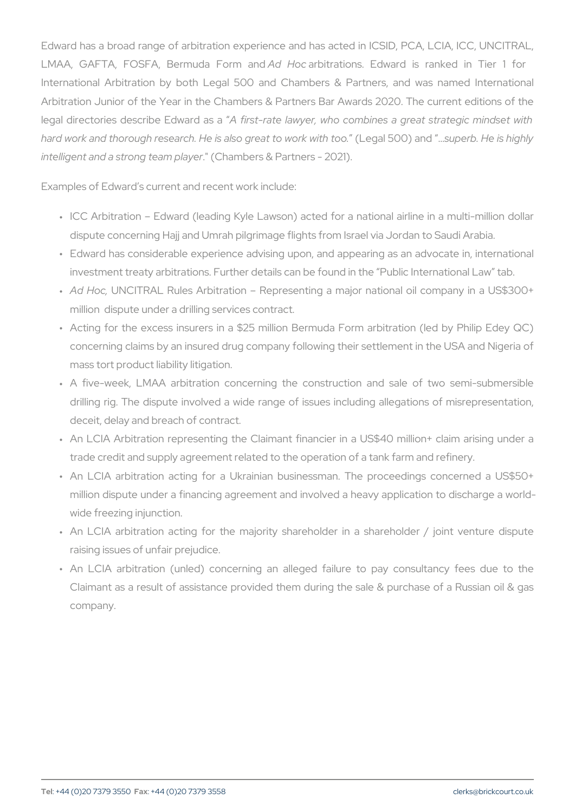Edward has a broad range of arbitration experience and has acted in LMAA, GAFTA, FOSFA, Bermadda Hoalebitmationnds. Edward is ranked International Arbitration by both Legal 500 and Chambers & Part Arbitration Junior of the Year in the Chambers & Partners Bar Award legal directories describe Edsward teaslaavyer, who combines a great s hard work and thorough research. He is alsoloe grade a51000 swapped kb & it the tissolaig  $int$  elligent and a strong (t@ anomolearse & Partners - 2021).

Examples of Edward s current and recent work include:

- "ICC Arbitration Edward (leading Kyle Lawson) acted for a nation dispute concerning Hajj and Umrah pilgrimage flights from Israel v
- " Edward has considerable experience advising upon, and appearin investment treaty arbitrations. Further details can be found in the
- " Ad Hob, NCITRAL Rules Arbitration a Representing a major nation million dispute under a drilling services contract.
- " Acting for the excess insurers in a \$25 million Bermuda Form a concerning claims by an insured drug company following their sett mass tort product liability litigation.
- " A five-week, LMAA arbitration concerning the construction and drilling rig. The dispute involved a wide range of issues includi deceit, delay and breach of contract.
- " An LCIA Arbitration representing the Claimant financier in a US trade credit and supply agreement related to the operation of a ta
- " An LCIA arbitration acting for a Ukrainian businessman. The p million dispute under a financing agreement and involved a heavy wide freezing injunction.
- " An LCIA arbitration acting for the majority shareholder in a s raising issues of unfair prejudice.
- " An LCIA arbitration (unled) concerning an alleged failure to Claimant as a result of assistance provided them during the sale company.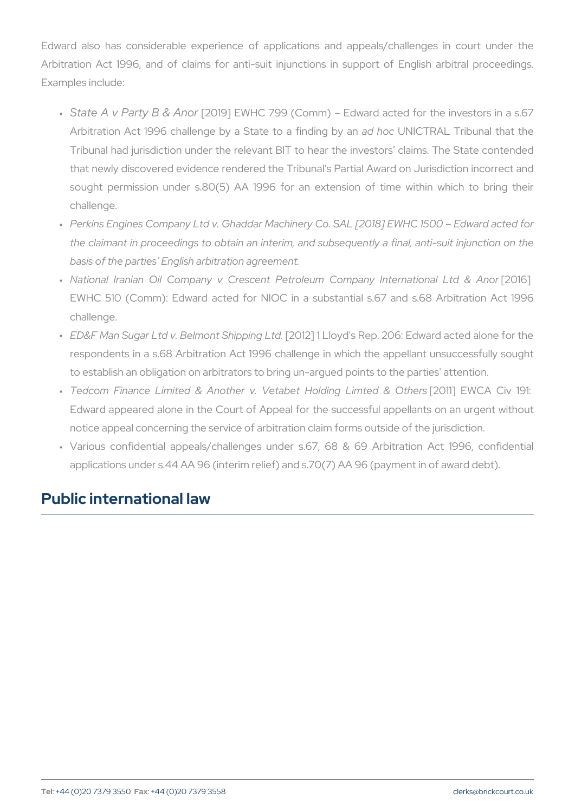Edward also has considerable experience of applications and appeals Arbitration Act 1996, and of claims for anti-suit injunctions in su Examples include:

- " State A v Party [280&9]A NEW HC 799 (Comm) Edward acted for the instance in a set of the integration in a subset Arbitration Act 1996 challenge by a SatlatheounNol Cal Friendin Tribunal that in an admittion Tribunal had jurisdiction under the relevant BIT to hear the inve that newly discovered evidence rendered the Tribunal s Partial Award on  $\overline{a}$ sought permission under s.80(5) AA 1996 for an extension of challenge.
- " Perkins Engines Company Ltd v. Ghaddar Machinery Co. SAL [2018 the claimant in proceedings to obtain an interim, and subsequent basis of the parties English arbitration agreement.
- " National Iranian Oil Company v Crescent Petroleum [20 mm pany EWHC 510 (Comm): Edward acted for NIOC in a substantial s. challenge.
- " <code>ED&F Man Sugar Ltd v. Belm</code> [02n0t1  $\delta$  ]hi1p pLilnogy oll tsd <code>Rep. 206: Edward act</code> respondents in a s.68 Arbitration Act 1996 challenge in which the to establish an obligation on arbitrators to bring un-argued points
- " Tedcom Finance Limited & Another v. Vetab  $E$  Offithly ClAimClievd Edward appeared alone in the Court of Appeal for the successful notice appeal concerning the service of arbitration claim forms ou
- " Various confidential appeals/challenges under s.67, 68 & 69 applications under s.44 AA 96 (interim relief) and s.70(7) AA 96 (payment in  $($

## Public international law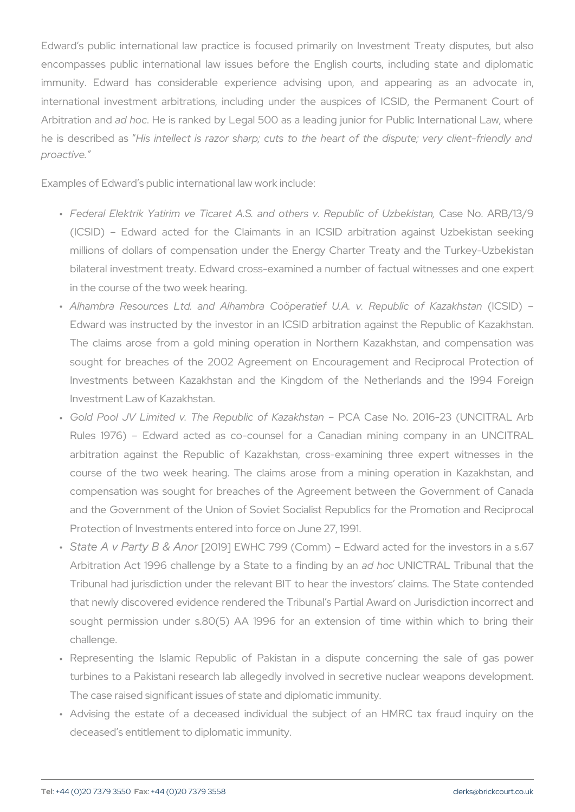Edward s public international law practice is focused primarily on encompasses public international law issues before the English co immunity. Edward has considerable experience advising upon, international investment arbitrations, including under the auspices Arbitration ad a hobble is ranked by Legal 500 as a leading junior for Pu he is describlesd ianstellect is razor sharp; cuts to the heart of the proactive.

Examples of Edward s public international law work include:

- " Federal Elektrik Yatirim ve Ticaret A.S. and otChæse No.ReApRuBo/l**i**o (ICSID) Edward acted for the Claimants in an ICSID arbitration against U millions of dollars of compensation under the Energy Charter T bilateral investment treaty. Edward cross-examined a number of factual in the course of the two week hearing.
- " Alhambra Resources Ltd. and Alhambra Coöperatief (ILC.SAID) v. Edward was instructed by the investor in an ICSID arbitration a The claims arose from a gold mining operation in Northern Ka sought for breaches of the 2002 Agreement on Encouragement Investments between Kazakhstan and the Kingdom of the Net Investment Law of Kazakhstan.
- " Gold Pool JV Limited v. The Rep BIDIA c CoafseKa Nzola 16-23 (UNCI Rules 1976) Edward acted as co-counsel for a Canadian r arbitration against the Republic of Kazakhstan, cross-examini course of the two week hearing. The claims arose from a min compensation was sought for breaches of the Agreement between and the Government of the Union of Soviet Socialist Republics for Protection of Investments entered into force on June 27, 1991.
- " State A v Party [280&9]A NEW HC 799 (Comm) Edward acted for the instance in a set of the integration in a subset Arbitration Act 1996 challenge by a Satlathe old No Cal Rith Lingibuly nealnthat Tribunal had jurisdiction under the relevant BIT to hear the inve that newly discovered evidence rendered the Tribunal s Partial Award on  $\overline{a}$ sought permission under  $s.80(5)$  AA 1996 for an extension of challenge.
- " Representing the Islamic Republic of Pakistan in a dispute turbines to a Pakistani research lab allegedly involved in secret The case raised significant issues of state and diplomatic immunit
- " Advising the estate of a deceased individual the subject of a deceased s entitlement to diplomatic immunity.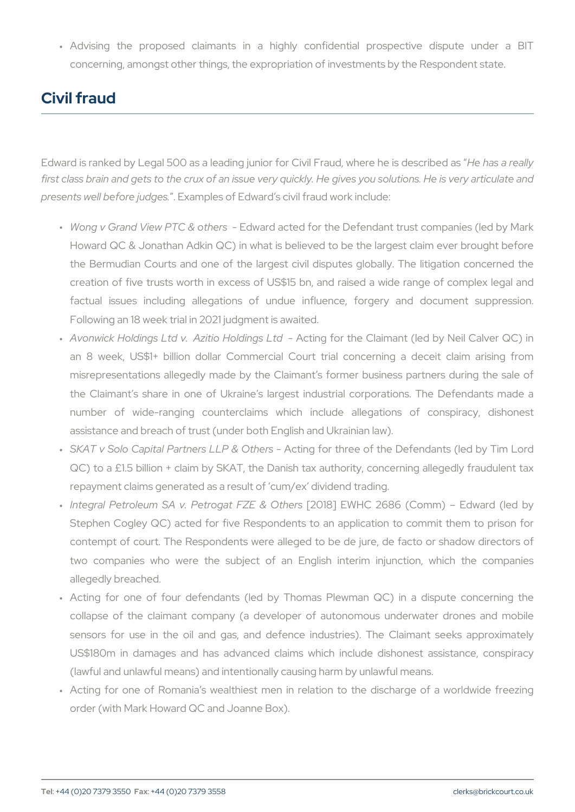"Advising the proposed claimants in a highly confidential concerning, amongst other things, the expropriation of investments

# Civil fraud

Edward is ranked by Legal 500 as a leading junior for Chive ilh Esaadre when first class brain and gets to the crux of an issue very quickly. He give  $p$  presents well befor $\mathbf{F}$  x and  $p$  and  $p$  and  $q$  and  $q$  and  $q$  include:

- " Wong v Grand View PT Ed&w aortchearcsted for the Defendant trust comp Howard QC & Jonathan Adkin QC) in what is believed to be the  $l$ the Bermudian Courts and one of the largest civil disputes glob creation of five trusts worth in excess of US\$15 bn, and raised factual issues including allegations of undue influence, for Following an 18 week trial in 2021 judgment is awaited.
- " Avonwick Holdings Ltd v. AzitiAoc**Ho**bdifrogsthLeedClaimant (led by N an 8 week, US\$1+ billion dollar Commercial Court trial conc misrepresentations allegedly made by the Claimant s former bus the Claimant s share in one of Ukraine s largest industrial co number of wide-ranging counterclaims which include alleg assistance and breach of trust (under both English and Ukrainian
- " SKAT v Solo Capital Partne-rsA tLing&foOrthbree of the Defendants (  $QC$ ) to a £1.5 billion + claim by SKAT, the Danish tax authority, repayment claims generated as a result of cum/ex dividend trading.
- "Integral Petroleum SA v. Petro[g?a0118F]ZEW&HOOt2h&e86 (Comm) Edw Stephen Cogley QC) acted for five Respondents to an application contempt of court. The Respondents were alleged to be de jure, two companies who were the subject of an English interim allegedly breached.
- " Acting for one of four defendants (led by Thomas Plewman Q collapse of the claimant company (a developer of autonomous sensors for use in the oil and gas, and defence industries). US\$180m in damages and has advanced claims which include (lawful and unlawful means) and intentionally causing harm by unl " Acting for one of Romania s wealthiest men in relation to the
- order (with Mark Howard QC and Joanne Box).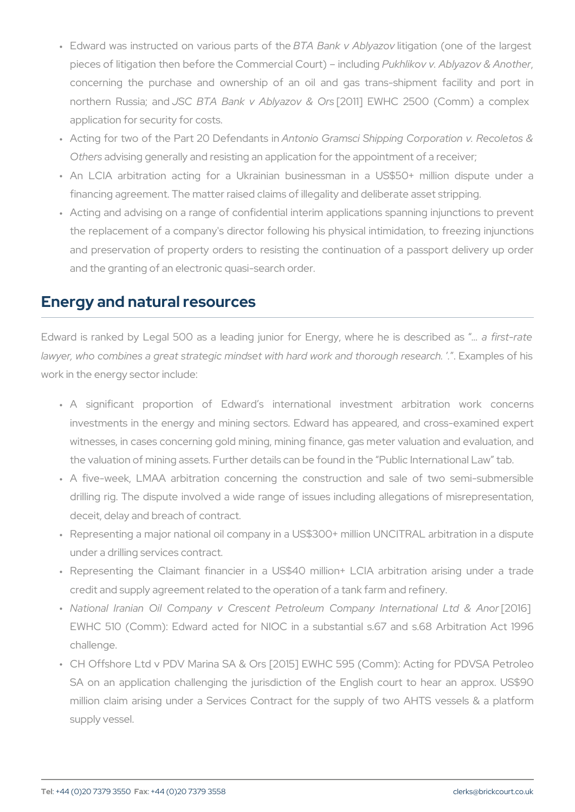- " Edward was instructed on vaBiToAusBpaktsv oAflbithjongantion (one of the pieces of litigation then before the CommPeurk hialk Cown.t) Ablimaczow di & g concerning the purchase and ownership of an oil and gas t northern RussiBaC Bank v Ablivantow & Orthing 2500 (Comm) a application for security for costs.
- " Acting for two of the Part 2AOnt Defen Gaams scin Shipping Corporation Otherand vising generally and resisting an application for the appoir
- " An LCIA arbitration acting for a Ukrainian businessman in a financing agreement. The matter raised claims of illegality and de
- " Acting and advising on a range of confidential interim application the replacement of a company's director following his physical in and preservation of property orders to resisting the continuation and the granting of an electronic quasi-search order.

#### Energy and natural resources

Edward is ranked by Legal 500 as a leading junior for Eanefrigsyt-rusthend as is described as a field as  $\epsilon$ lawyer, who combines a great strategic mindset with haEd awnopkes nodf the work in the energy sector include:

- " A significant proportion of Edward s international inves investments in the energy and mining sectors. Edward has appe witnesses, in cases concerning gold mining, mining finance, gas r the valuation of mining assets. Further details can be found in the
- " A five-week, LMAA arbitration concerning the construction and drilling rig. The dispute involved a wide range of issues includi deceit, delay and breach of contract.
- " Representing a major national oil company in a US\$300+ million I under a drilling services contract.
- " Representing the Claimant financier in a US\$40 million+ LCIA credit and supply agreement related to the operation of a tank far
- " National Iranian Oil Company v Crescent Petroleum [200ml  $\beta$   $\frac{1}{2}$ ny EWHC 510 (Comm): Edward acted for NIOC in a substantial s. challenge.
- " CH Offshore Ltd v PDV Marina SA & Ors [2015] EWHC 595 (Com SA on an application challenging the jurisdiction of the Englis million claim arising under a Services Contract for the supply supply vessel.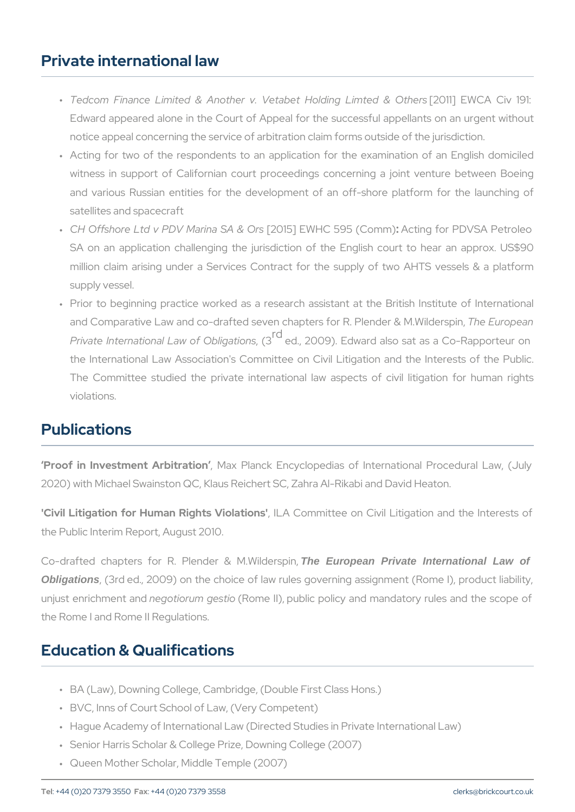#### Private international law

- " Tedcom Finance Limited & Another v. Vetab († 20 Hilol En Wy ClAimOtevd Edward appeared alone in the Court of Appeal for the successful notice appeal concerning the service of arbitration claim forms ou
- " Acting for two of the respondents to an application for the exa witness in support of Californian court proceedings concerning and various Russian entities for the development of an off-sho satellites and spacecraft
- " CH Offshore Ltd v PDV Ma[2i0n1a5]SAEW&HOIr§95A(cOtionngmf)or PDVSA Pet SA on an application challenging the jurisdiction of the Englis million claim arising under a Services Contract for the supply supply vessel.
- " Prior to beginning practice worked as a research assistant at t and Comparative Law and co-drafted seven chapters The Rur Pperader Private International Law  $\begin{bmatrix} G \\ G \end{bmatrix}$ e Ob, Iig a 0i9o)ns Edward also sat as a Cothe International Law Association's Committee on Civil Litigatio The Committee studied the private international law aspects of violations.

# Publications

Proof in Investment , An What branck Encyclopedias of International 2020) with Michael Swainston QC, Klaus Reichert SC, Zahra Al-Rikabi

'Civil Litigation for Human Rights VCiomhantiiothese on Civil Litigation and the Public Interim Report, August 2010.

Co-drafted chapters for R. PlenThobe European MP. Nivated Insternational Law of Obligations, (3rd ed., 2009) on the choice of law rules governing assign unjust enrichmeen do aino dum gestione II), public policy and mandatory rul the Rome I and Rome II Regulations.

## Education & Qualifications

- " BA (Law), Downing College, Cambridge, (Double First Class Hons.)
- " BVC, Inns of Court School of Law, (Very Competent)
- " Hague Academy of International Law (Directed Studies in Private I
- " Senior Harris Scholar & College Prize, Downing College (2007)
- " Queen Mother Scholar, Middle Temple (2007)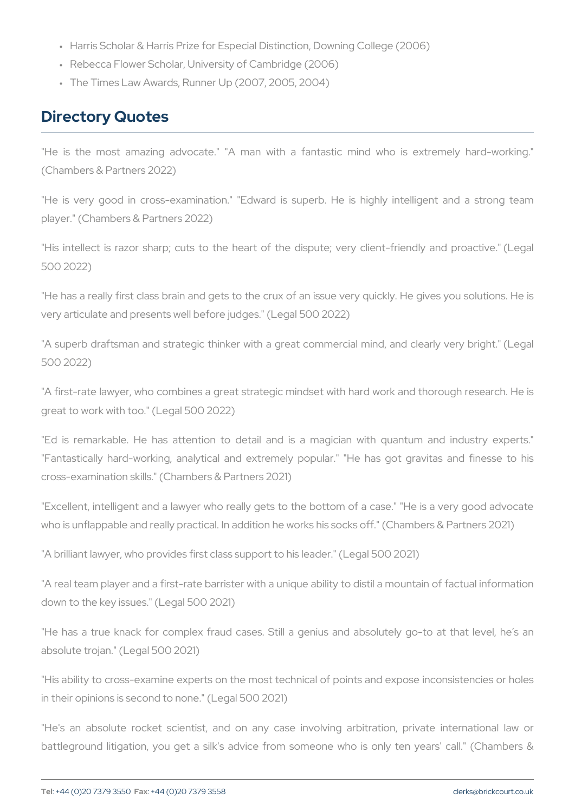" Harris Scholar & Harris Prize for Especial Distinction, Downing Co

" Rebecca Flower Scholar, University of Cambridge (2006)

" The Times Law Awards, Runner Up (2007, 2005, 2004)

#### Directory Quotes

"He is the most amazing advocate." "A man with a fantastic m (Chambers & Partners 2022)

"He is very good in cross-examination." "Edward is superb. He is player." (Chambers & Partners 2022)

"His intellect is razor sharp; cuts to the heart of the dispute; ver 500 2022)

"He has a really first class brain and gets to the crux of an issue ve very articulate and presents well before judges." (Legal 500 2022)

"A superb draftsman and strategic thinker with a great commercial r 500 2022)

"A first-rate lawyer, who combines a great strategic mindset with har great to work with too." (Legal 500 2022)

"Ed is remarkable. He has attention to detail and is a magician "Fantastically hard-working, analytical and extremely popular." "He cross-examination skills." (Chambers & Partners 2021)

"Excellent, intelligent and a lawyer who really gets to the bottom of who is unflappable and really practical. In addition he works his socks

"A brilliant lawyer, who provides first class support to his leader." (Le

"A real team player and a first-rate barrister with a unique ability to down to the key issues." (Legal 500 2021)

"He has a true knack for complex fraud cases. Still a genius and absolute trojan." (Legal 500 2021)

"His ability to cross-examine experts on the most technical of points in their opinions is second to none." (Legal 500 2021)

"He's an absolute rocket scientist, and on any case involving a battleground litigation, you get a silk's advice from someone who